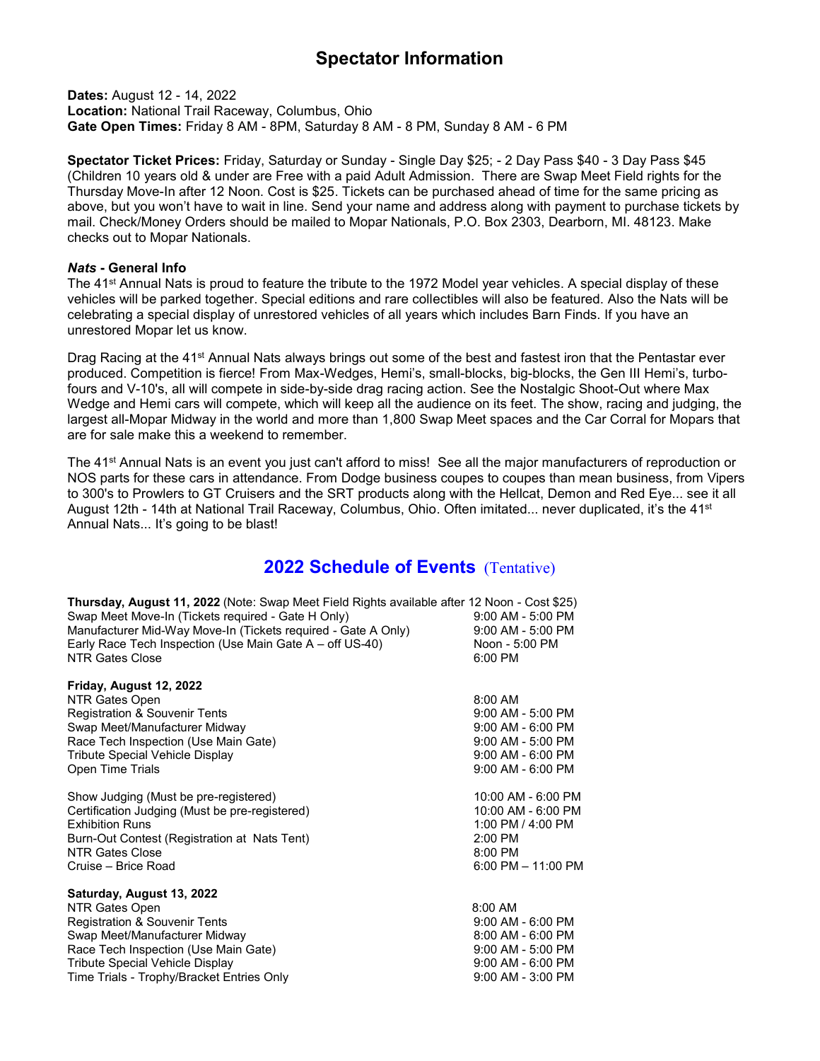## **Spectator Information**

**Dates:** August 12 - 14, 2022 **Location:** National Trail Raceway, Columbus, Ohio **Gate Open Times:** Friday 8 AM - 8PM, Saturday 8 AM - 8 PM, Sunday 8 AM - 6 PM

**Spectator Ticket Prices:** Friday, Saturday or Sunday - Single Day \$25; - 2 Day Pass \$40 - 3 Day Pass \$45 (Children 10 years old & under are Free with a paid Adult Admission. There are Swap Meet Field rights for the Thursday Move-In after 12 Noon. Cost is \$25. Tickets can be purchased ahead of time for the same pricing as above, but you won't have to wait in line. Send your name and address along with payment to purchase tickets by mail. Check/Money Orders should be mailed to Mopar Nationals, P.O. Box 2303, Dearborn, MI. 48123. Make checks out to Mopar Nationals.

## *Nats* **- General Info**

The 41st Annual Nats is proud to feature the tribute to the 1972 Model year vehicles. A special display of these vehicles will be parked together. Special editions and rare collectibles will also be featured. Also the Nats will be celebrating a special display of unrestored vehicles of all years which includes Barn Finds. If you have an unrestored Mopar let us know.

Drag Racing at the 41<sup>st</sup> Annual Nats always brings out some of the best and fastest iron that the Pentastar ever produced. Competition is fierce! From Max-Wedges, Hemi's, small-blocks, big-blocks, the Gen III Hemi's, turbofours and V-10's, all will compete in side-by-side drag racing action. See the Nostalgic Shoot-Out where Max Wedge and Hemi cars will compete, which will keep all the audience on its feet. The show, racing and judging, the largest all-Mopar Midway in the world and more than 1,800 Swap Meet spaces and the Car Corral for Mopars that are for sale make this a weekend to remember.

The 41<sup>st</sup> Annual Nats is an event you just can't afford to miss! See all the major manufacturers of reproduction or NOS parts for these cars in attendance. From Dodge business coupes to coupes than mean business, from Vipers to 300's to Prowlers to GT Cruisers and the SRT products along with the Hellcat, Demon and Red Eye... see it all August 12th - 14th at National Trail Raceway, Columbus, Ohio. Often imitated... never duplicated, it's the 41<sup>st</sup> Annual Nats... It's going to be blast!

## **2022 Schedule of Events** (Tentative)

| Thursday, August 11, 2022 (Note: Swap Meet Field Rights available after 12 Noon - Cost \$25)<br>Swap Meet Move-In (Tickets required - Gate H Only)<br>Manufacturer Mid-Way Move-In (Tickets required - Gate A Only)<br>Early Race Tech Inspection (Use Main Gate A – off US-40)<br><b>NTR Gates Close</b> | $9:00$ AM - 5:00 PM<br>9:00 AM - 5:00 PM<br>Noon - 5:00 PM<br>6:00 PM |
|-----------------------------------------------------------------------------------------------------------------------------------------------------------------------------------------------------------------------------------------------------------------------------------------------------------|-----------------------------------------------------------------------|
| Friday, August 12, 2022                                                                                                                                                                                                                                                                                   |                                                                       |
| NTR Gates Open                                                                                                                                                                                                                                                                                            | 8:00 AM                                                               |
| Registration & Souvenir Tents                                                                                                                                                                                                                                                                             | $9:00$ AM - 5:00 PM                                                   |
| Swap Meet/Manufacturer Midway                                                                                                                                                                                                                                                                             | $9:00$ AM - 6:00 PM                                                   |
| Race Tech Inspection (Use Main Gate)                                                                                                                                                                                                                                                                      | 9:00 AM - 5:00 PM                                                     |
| <b>Tribute Special Vehicle Display</b>                                                                                                                                                                                                                                                                    | $9:00$ AM - 6:00 PM                                                   |
| Open Time Trials                                                                                                                                                                                                                                                                                          | $9:00$ AM - 6:00 PM                                                   |
| Show Judging (Must be pre-registered)                                                                                                                                                                                                                                                                     | 10:00 AM - 6:00 PM                                                    |
| Certification Judging (Must be pre-registered)                                                                                                                                                                                                                                                            | 10:00 AM - 6:00 PM                                                    |
| <b>Exhibition Runs</b>                                                                                                                                                                                                                                                                                    | 1:00 PM / 4:00 PM                                                     |
| Burn-Out Contest (Registration at Nats Tent)                                                                                                                                                                                                                                                              | $2:00$ PM                                                             |
| NTR Gates Close                                                                                                                                                                                                                                                                                           | 8:00 PM                                                               |
| Cruise - Brice Road                                                                                                                                                                                                                                                                                       | 6:00 PM $-$ 11:00 PM                                                  |
| Saturday, August 13, 2022                                                                                                                                                                                                                                                                                 |                                                                       |
| NTR Gates Open                                                                                                                                                                                                                                                                                            | $8:00$ AM                                                             |
| <b>Registration &amp; Souvenir Tents</b>                                                                                                                                                                                                                                                                  | $9:00$ AM - 6:00 PM                                                   |
| Swap Meet/Manufacturer Midway                                                                                                                                                                                                                                                                             | $8:00$ AM - $6:00$ PM                                                 |
| Race Tech Inspection (Use Main Gate)                                                                                                                                                                                                                                                                      | $9:00$ AM - 5:00 PM                                                   |
| <b>Tribute Special Vehicle Display</b>                                                                                                                                                                                                                                                                    | 9:00 AM - 6:00 PM                                                     |
| Time Trials - Trophy/Bracket Entries Only                                                                                                                                                                                                                                                                 | 9:00 AM - 3:00 PM                                                     |